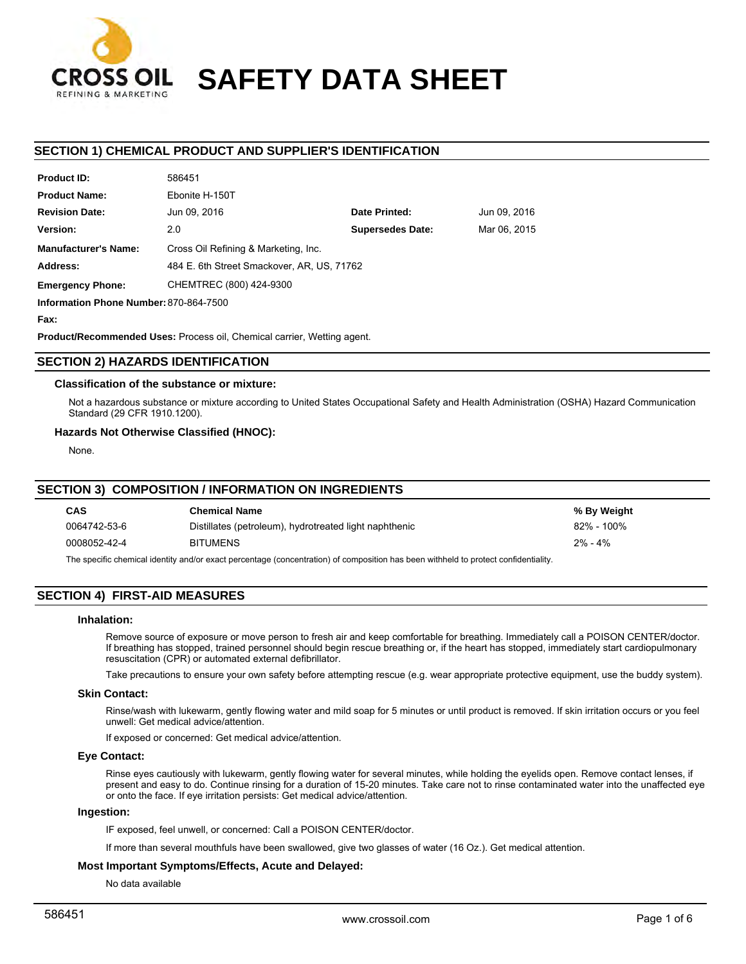

# **SAFETY DATA SHEET**

# **SECTION 1) CHEMICAL PRODUCT AND SUPPLIER'S IDENTIFICATION**

| Product ID:                 | <b>100431</b>                              |                         |              |
|-----------------------------|--------------------------------------------|-------------------------|--------------|
| <b>Product Name:</b>        | Ebonite H-150T                             |                         |              |
| <b>Revision Date:</b>       | Jun 09, 2016                               | Date Printed:           | Jun 09, 2016 |
| Version:                    | 2.0                                        | <b>Supersedes Date:</b> | Mar 06, 2015 |
| <b>Manufacturer's Name:</b> | Cross Oil Refining & Marketing, Inc.       |                         |              |
| Address:                    | 484 E. 6th Street Smackover, AR, US, 71762 |                         |              |
| <b>Emergency Phone:</b>     | CHEMTREC (800) 424-9300                    |                         |              |
|                             |                                            |                         |              |

**Information Phone Number:** 870-864-7500

**Fax:**

**Product ID:**

**Product/Recommended Uses:** Process oil, Chemical carrier, Wetting agent.

586451

## **SECTION 2) HAZARDS IDENTIFICATION**

## **Classification of the substance or mixture:**

Not a hazardous substance or mixture according to United States Occupational Safety and Health Administration (OSHA) Hazard Communication Standard (29 CFR 1910.1200).

## **Hazards Not Otherwise Classified (HNOC):**

None.

## **SECTION 3) COMPOSITION / INFORMATION ON INGREDIENTS**

| <b>CAS</b>                                                                                                                          | <b>Chemical Name</b>                                   | % By Weight |  |  |
|-------------------------------------------------------------------------------------------------------------------------------------|--------------------------------------------------------|-------------|--|--|
| 0064742-53-6                                                                                                                        | Distillates (petroleum), hydrotreated light naphthenic | 82% - 100%  |  |  |
| 0008052-42-4                                                                                                                        | <b>BITUMENS</b>                                        | $2\% - 4\%$ |  |  |
| The specific chemical identity and/or exact percentage (concentration) of composition has been withheld to protect confidentiality. |                                                        |             |  |  |

## **SECTION 4) FIRST-AID MEASURES**

#### **Inhalation:**

Remove source of exposure or move person to fresh air and keep comfortable for breathing. Immediately call a POISON CENTER/doctor. If breathing has stopped, trained personnel should begin rescue breathing or, if the heart has stopped, immediately start cardiopulmonary resuscitation (CPR) or automated external defibrillator.

Take precautions to ensure your own safety before attempting rescue (e.g. wear appropriate protective equipment, use the buddy system).

#### **Skin Contact:**

Rinse/wash with lukewarm, gently flowing water and mild soap for 5 minutes or until product is removed. If skin irritation occurs or you feel unwell: Get medical advice/attention.

If exposed or concerned: Get medical advice/attention.

## **Eye Contact:**

Rinse eyes cautiously with lukewarm, gently flowing water for several minutes, while holding the eyelids open. Remove contact lenses, if present and easy to do. Continue rinsing for a duration of 15-20 minutes. Take care not to rinse contaminated water into the unaffected eye or onto the face. If eye irritation persists: Get medical advice/attention.

#### **Ingestion:**

IF exposed, feel unwell, or concerned: Call a POISON CENTER/doctor.

If more than several mouthfuls have been swallowed, give two glasses of water (16 Oz.). Get medical attention.

## **Most Important Symptoms/Effects, Acute and Delayed:**

No data available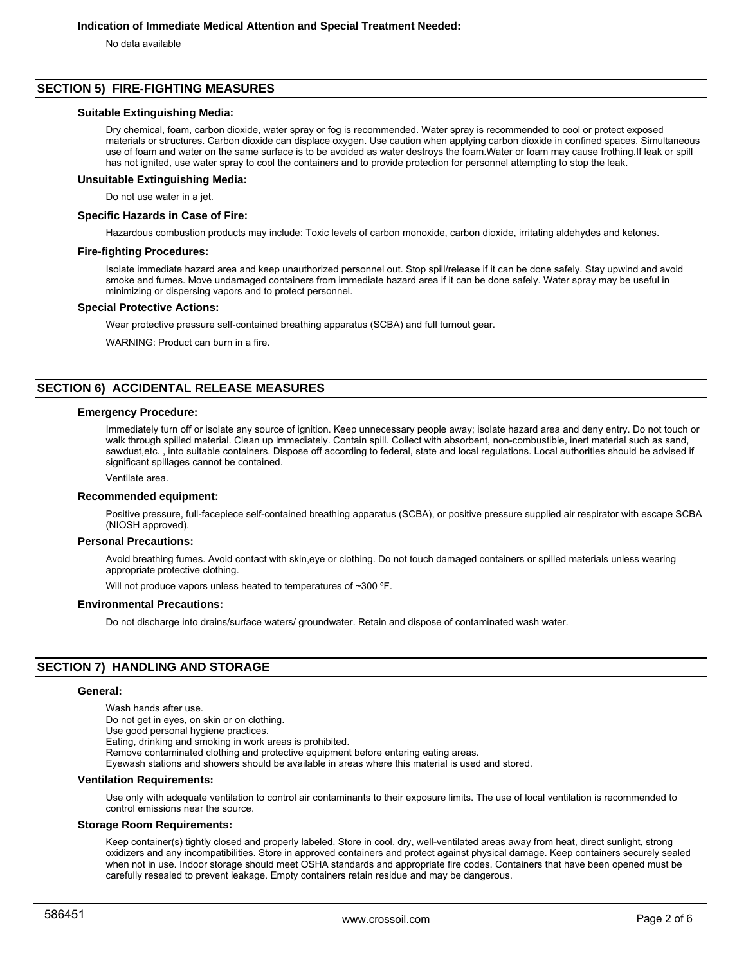No data available

## **SECTION 5) FIRE-FIGHTING MEASURES**

## **Suitable Extinguishing Media:**

Dry chemical, foam, carbon dioxide, water spray or fog is recommended. Water spray is recommended to cool or protect exposed materials or structures. Carbon dioxide can displace oxygen. Use caution when applying carbon dioxide in confined spaces. Simultaneous use of foam and water on the same surface is to be avoided as water destroys the foam.Water or foam may cause frothing.If leak or spill has not ignited, use water spray to cool the containers and to provide protection for personnel attempting to stop the leak.

**Unsuitable Extinguishing Media:**

Do not use water in a jet.

#### **Specific Hazards in Case of Fire:**

Hazardous combustion products may include: Toxic levels of carbon monoxide, carbon dioxide, irritating aldehydes and ketones.

#### **Fire-fighting Procedures:**

Isolate immediate hazard area and keep unauthorized personnel out. Stop spill/release if it can be done safely. Stay upwind and avoid smoke and fumes. Move undamaged containers from immediate hazard area if it can be done safely. Water spray may be useful in minimizing or dispersing vapors and to protect personnel.

#### **Special Protective Actions:**

Wear protective pressure self-contained breathing apparatus (SCBA) and full turnout gear.

WARNING: Product can burn in a fire.

# **SECTION 6) ACCIDENTAL RELEASE MEASURES**

#### **Emergency Procedure:**

Immediately turn off or isolate any source of ignition. Keep unnecessary people away; isolate hazard area and deny entry. Do not touch or walk through spilled material. Clean up immediately. Contain spill. Collect with absorbent, non-combustible, inert material such as sand, sawdust,etc. , into suitable containers. Dispose off according to federal, state and local regulations. Local authorities should be advised if significant spillages cannot be contained.

#### Ventilate area.

#### **Recommended equipment:**

Positive pressure, full-facepiece self-contained breathing apparatus (SCBA), or positive pressure supplied air respirator with escape SCBA (NIOSH approved).

#### **Personal Precautions:**

Avoid breathing fumes. Avoid contact with skin,eye or clothing. Do not touch damaged containers or spilled materials unless wearing appropriate protective clothing.

Will not produce vapors unless heated to temperatures of ~300 °F.

#### **Environmental Precautions:**

Do not discharge into drains/surface waters/ groundwater. Retain and dispose of contaminated wash water.

## **SECTION 7) HANDLING AND STORAGE**

#### **General:**

Wash hands after use. Do not get in eyes, on skin or on clothing. Use good personal hygiene practices. Eating, drinking and smoking in work areas is prohibited. Remove contaminated clothing and protective equipment before entering eating areas. Eyewash stations and showers should be available in areas where this material is used and stored.

#### **Ventilation Requirements:**

Use only with adequate ventilation to control air contaminants to their exposure limits. The use of local ventilation is recommended to control emissions near the source.

#### **Storage Room Requirements:**

Keep container(s) tightly closed and properly labeled. Store in cool, dry, well-ventilated areas away from heat, direct sunlight, strong oxidizers and any incompatibilities. Store in approved containers and protect against physical damage. Keep containers securely sealed when not in use. Indoor storage should meet OSHA standards and appropriate fire codes. Containers that have been opened must be carefully resealed to prevent leakage. Empty containers retain residue and may be dangerous.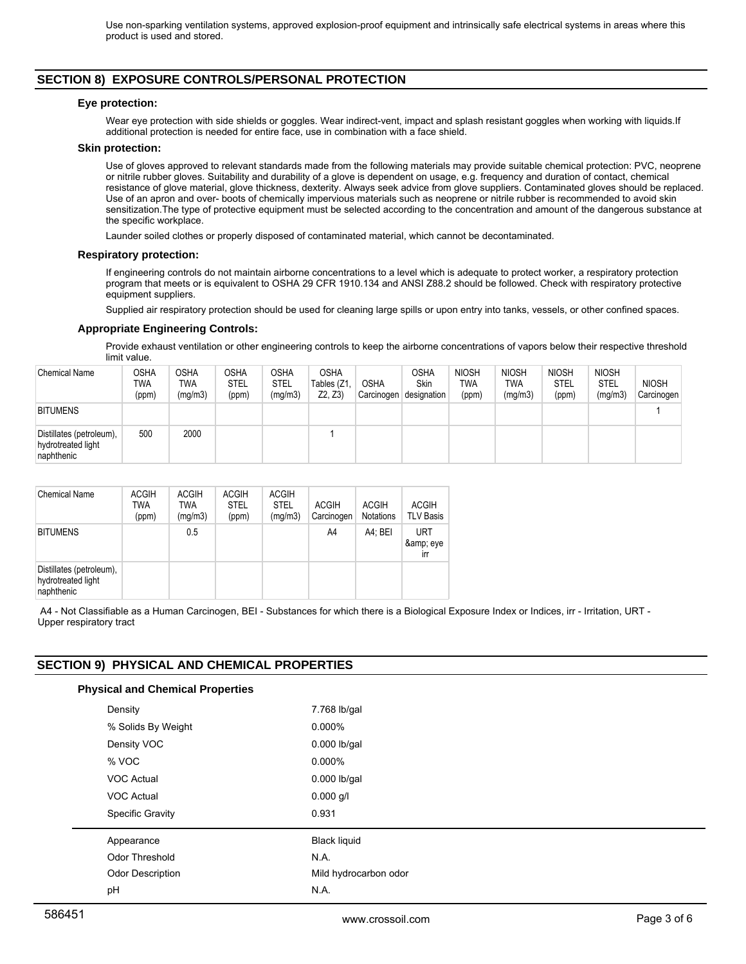# **SECTION 8) EXPOSURE CONTROLS/PERSONAL PROTECTION**

## **Eye protection:**

Wear eye protection with side shields or goggles. Wear indirect-vent, impact and splash resistant goggles when working with liquids.If additional protection is needed for entire face, use in combination with a face shield.

## **Skin protection:**

Use of gloves approved to relevant standards made from the following materials may provide suitable chemical protection: PVC, neoprene or nitrile rubber gloves. Suitability and durability of a glove is dependent on usage, e.g. frequency and duration of contact, chemical resistance of glove material, glove thickness, dexterity. Always seek advice from glove suppliers. Contaminated gloves should be replaced. Use of an apron and over- boots of chemically impervious materials such as neoprene or nitrile rubber is recommended to avoid skin sensitization.The type of protective equipment must be selected according to the concentration and amount of the dangerous substance at the specific workplace.

Launder soiled clothes or properly disposed of contaminated material, which cannot be decontaminated.

## **Respiratory protection:**

If engineering controls do not maintain airborne concentrations to a level which is adequate to protect worker, a respiratory protection program that meets or is equivalent to OSHA 29 CFR 1910.134 and ANSI Z88.2 should be followed. Check with respiratory protective equipment suppliers.

Supplied air respiratory protection should be used for cleaning large spills or upon entry into tanks, vessels, or other confined spaces.

## **Appropriate Engineering Controls:**

Provide exhaust ventilation or other engineering controls to keep the airborne concentrations of vapors below their respective threshold limit value.

| <b>Chemical Name</b>                                         | OSHA<br>TWA<br>(ppm) | <b>OSHA</b><br><b>TWA</b><br>(mg/m3) | <b>OSHA</b><br><b>STEL</b><br>(ppm) | OSHA<br><b>STEL</b><br>(mg/m3) | <b>OSHA</b><br>Tables (Z1<br>Z2, Z3 | <b>OSHA</b> | <b>OSHA</b><br><b>Skin</b><br>Carcinogen designation | <b>NIOSH</b><br>TWA<br>(ppm) | <b>NIOSH</b><br>TWA<br>(mg/m3) | <b>NIOSH</b><br><b>STEL</b><br>(ppm) | <b>NIOSH</b><br><b>STEL</b><br>(mg/m3) | <b>NIOSH</b><br>Carcinogen |
|--------------------------------------------------------------|----------------------|--------------------------------------|-------------------------------------|--------------------------------|-------------------------------------|-------------|------------------------------------------------------|------------------------------|--------------------------------|--------------------------------------|----------------------------------------|----------------------------|
| <b>BITUMENS</b>                                              |                      |                                      |                                     |                                |                                     |             |                                                      |                              |                                |                                      |                                        |                            |
| Distillates (petroleum),<br>hydrotreated light<br>naphthenic | 500                  | 2000                                 |                                     |                                |                                     |             |                                                      |                              |                                |                                      |                                        |                            |

| Chemical Name                                                | <b>ACGIH</b><br><b>TWA</b><br>(ppm) | <b>ACGIH</b><br><b>TWA</b><br>(mq/m3) | <b>ACGIH</b><br><b>STEL</b><br>(ppm) | <b>ACGIH</b><br><b>STEL</b><br>(mg/m3) | <b>ACGIH</b><br>Carcinogen | <b>ACGIH</b><br>Notations | <b>ACGIH</b><br><b>TLV Basis</b> |
|--------------------------------------------------------------|-------------------------------------|---------------------------------------|--------------------------------------|----------------------------------------|----------------------------|---------------------------|----------------------------------|
| <b>BITUMENS</b>                                              |                                     | 0.5                                   |                                      |                                        | A4                         | A4: BEI                   | <b>URT</b><br>& eye<br>irr       |
| Distillates (petroleum),<br>hydrotreated light<br>naphthenic |                                     |                                       |                                      |                                        |                            |                           |                                  |

A4 - Not Classifiable as a Human Carcinogen, BEI - Substances for which there is a Biological Exposure Index or Indices, irr - Irritation, URT -Upper respiratory tract

# **SECTION 9) PHYSICAL AND CHEMICAL PROPERTIES**

| <b>Physical and Chemical Properties</b> |                       |
|-----------------------------------------|-----------------------|
| Density                                 | 7.768 lb/gal          |
| % Solids By Weight                      | $0.000\%$             |
| Density VOC                             | $0.000$ lb/gal        |
| % VOC                                   | $0.000\%$             |
| <b>VOC Actual</b>                       | $0.000$ lb/gal        |
| VOC Actual                              | $0.000$ g/l           |
| <b>Specific Gravity</b>                 | 0.931                 |
| Appearance                              | <b>Black liquid</b>   |
| Odor Threshold                          | N.A.                  |
| <b>Odor Description</b>                 | Mild hydrocarbon odor |
| pH                                      | N.A.                  |
|                                         |                       |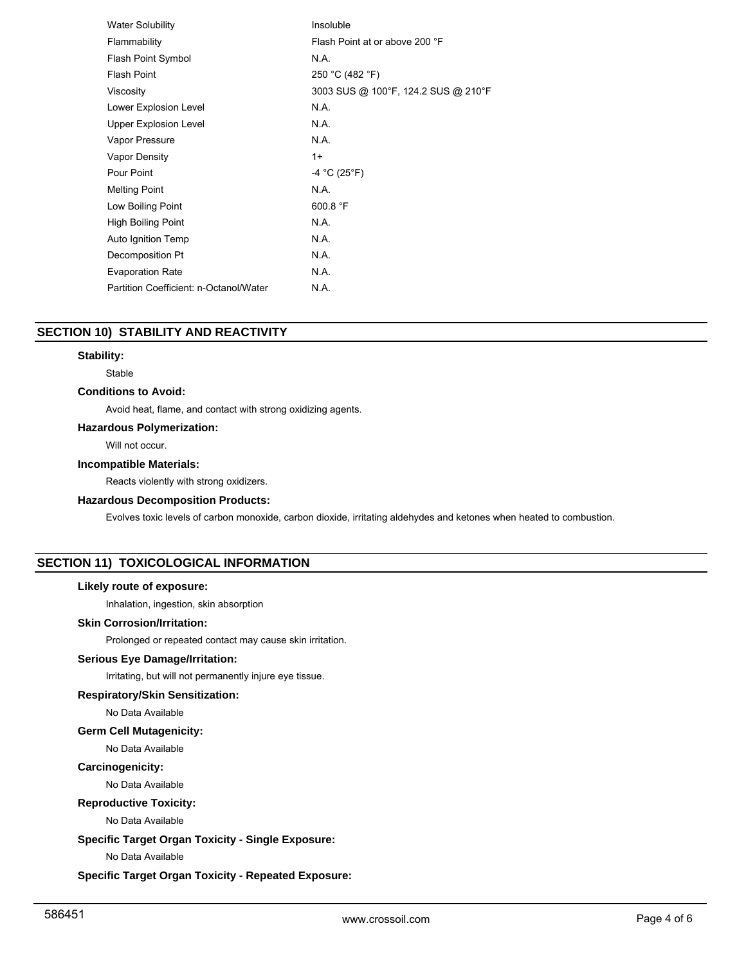| <b>Water Solubility</b>                | Insoluble                           |
|----------------------------------------|-------------------------------------|
| Flammability                           | Flash Point at or above 200 °F      |
| Flash Point Symbol                     | N.A.                                |
| <b>Flash Point</b>                     | 250 °C (482 °F)                     |
| Viscosity                              | 3003 SUS @ 100°F, 124.2 SUS @ 210°F |
| Lower Explosion Level                  | N.A.                                |
| Upper Explosion Level                  | N.A.                                |
| Vapor Pressure                         | N.A.                                |
| Vapor Density                          | $1+$                                |
| Pour Point                             | $-4 °C (25 °F)$                     |
| <b>Melting Point</b>                   | N.A.                                |
| Low Boiling Point                      | 600.8 $\degree$ F                   |
| <b>High Boiling Point</b>              | N.A.                                |
| Auto Ignition Temp                     | N.A.                                |
| Decomposition Pt                       | N.A.                                |
| <b>Evaporation Rate</b>                | N.A.                                |
| Partition Coefficient: n-Octanol/Water | N.A.                                |

# **SECTION 10) STABILITY AND REACTIVITY**

## **Stability:**

Stable

## **Conditions to Avoid:**

Avoid heat, flame, and contact with strong oxidizing agents.

# **Hazardous Polymerization:**

Will not occur.

## **Incompatible Materials:**

Reacts violently with strong oxidizers.

## **Hazardous Decomposition Products:**

Evolves toxic levels of carbon monoxide, carbon dioxide, irritating aldehydes and ketones when heated to combustion.

# **SECTION 11) TOXICOLOGICAL INFORMATION**

#### **Likely route of exposure:**

Inhalation, ingestion, skin absorption

# **Skin Corrosion/Irritation:**

Prolonged or repeated contact may cause skin irritation.

## **Serious Eye Damage/Irritation:**

Irritating, but will not permanently injure eye tissue.

# **Respiratory/Skin Sensitization:**

No Data Available

# **Germ Cell Mutagenicity:**

No Data Available

## **Carcinogenicity:**

No Data Available

## **Reproductive Toxicity:**

No Data Available

# **Specific Target Organ Toxicity - Single Exposure:**

No Data Available

## **Specific Target Organ Toxicity - Repeated Exposure:**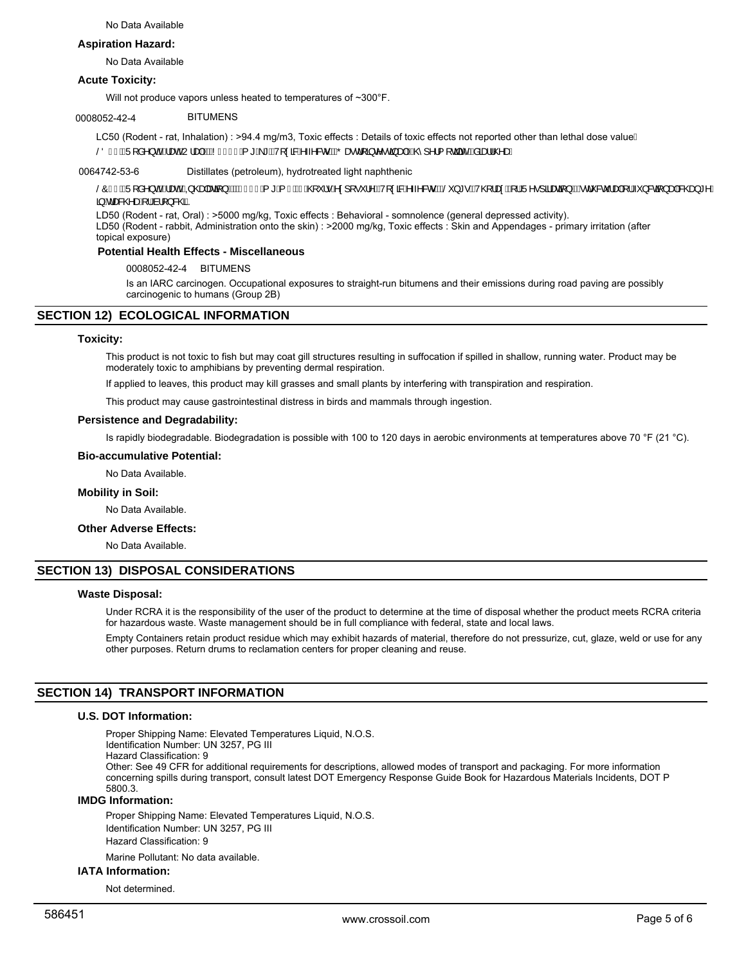## **Aspiration Hazard:**

No Data Available

## **Acute Toxicity:**

Will not produce vapors unless heated to temperatures of ~300°F.

## 0008052-42-4 BITUMENS

LC50 (Rodent - rat, Inhalation) : >94.4 mg/m3, Toxic effects : Details of toxic effects not reported other than lethal dose valueE ŠÖÍ€ÁQÜJå^}OHĞÁædÁU¦æµDÁKÁNÍ€€€Á,\*B)\*ÉÁVJ¢&RÁ∿⊸&oAÁKŐæ∙djā;c∿∙ca}æ4közk@l^¦{|cajac^Ékâaæ}¦@æÈ

0064742-53-6 Distillates (petroleum), hydrotreated light naphthenic

ŠÔÍ€ÁQÜ[å^}ofãÁædÁãQQQabæã[}DÁKGFÌ€Á[\*EQHÁQÃQY`¦∙Ár¢][•Y¦^DÁ/[¢ā&Á~~^&oÁKŠŏY\*•ĚÁ/Q}¦æneÉk¦¦ÁŬ^•]ãæã{}Äãék]&覿þÁ{lÁ{}&aã}æþÁ&@zo}\*^Á  $\frac{1}{9}$ Ádæ&@eaon[l/ail]}&@E

LD50 (Rodent - rat, Oral) : >5000 mg/kg, Toxic effects : Behavioral - somnolence (general depressed activity). LD50 (Rodent - rabbit, Administration onto the skin) : >2000 mg/kg, Toxic effects : Skin and Appendages - primary irritation (after topical exposure)

## **Potential Health Effects - Miscellaneous**

0008052-42-4 BITUMENS

Is an IARC carcinogen. Occupational exposures to straight-run bitumens and their emissions during road paving are possibly carcinogenic to humans (Group 2B)

## **SECTION 12) ECOLOGICAL INFORMATION**

## **Toxicity:**

This product is not toxic to fish but may coat gill structures resulting in suffocation if spilled in shallow, running water. Product may be moderately toxic to amphibians by preventing dermal respiration.

If applied to leaves, this product may kill grasses and small plants by interfering with transpiration and respiration.

This product may cause gastrointestinal distress in birds and mammals through ingestion.

#### **Persistence and Degradability:**

Is rapidly biodegradable. Biodegradation is possible with 100 to 120 days in aerobic environments at temperatures above 70 °F (21 °C).

#### **Bio-accumulative Potential:**

No Data Available.

#### **Mobility in Soil:**

No Data Available.

## **Other Adverse Effects:**

No Data Available.

## **SECTION 13) DISPOSAL CONSIDERATIONS**

## **Waste Disposal:**

Under RCRA it is the responsibility of the user of the product to determine at the time of disposal whether the product meets RCRA criteria for hazardous waste. Waste management should be in full compliance with federal, state and local laws.

Empty Containers retain product residue which may exhibit hazards of material, therefore do not pressurize, cut, glaze, weld or use for any other purposes. Return drums to reclamation centers for proper cleaning and reuse.

## **SECTION 14) TRANSPORT INFORMATION**

## **U.S. DOT Information:**

Proper Shipping Name: Elevated Temperatures Liquid, N.O.S. Identification Number: UN 3257, PG III Hazard Classification: 9 Other: See 49 CFR for additional requirements for descriptions, allowed modes of transport and packaging. For more information concerning spills during transport, consult latest DOT Emergency Response Guide Book for Hazardous Materials Incidents, DOT P

# 5800.3.

# **IMDG Information:**

Proper Shipping Name: Elevated Temperatures Liquid, N.O.S. Identification Number: UN 3257, PG III Hazard Classification: 9

Marine Pollutant: No data available.

# **IATA Information:**

Not determined.